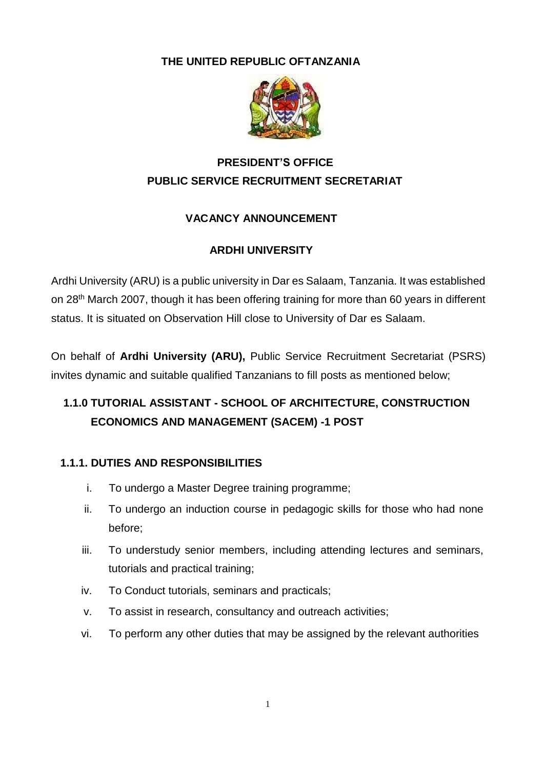### **THE UNITED REPUBLIC OFTANZANIA**



# **PRESIDENT'S OFFICE PUBLIC SERVICE RECRUITMENT SECRETARIAT**

## **VACANCY ANNOUNCEMENT**

## **ARDHI UNIVERSITY**

Ardhi University (ARU) is a public university in Dar es Salaam, Tanzania. It was established on 28th March 2007, though it has been offering training for more than 60 years in different status. It is situated on Observation Hill close to University of Dar es Salaam.

On behalf of **Ardhi University (ARU),** Public Service Recruitment Secretariat (PSRS) invites dynamic and suitable qualified Tanzanians to fill posts as mentioned below;

# **1.1.0 TUTORIAL ASSISTANT - SCHOOL OF ARCHITECTURE, CONSTRUCTION ECONOMICS AND MANAGEMENT (SACEM) -1 POST**

## **1.1.1. DUTIES AND RESPONSIBILITIES**

- i. To undergo a Master Degree training programme;
- ii. To undergo an induction course in pedagogic skills for those who had none before;
- iii. To understudy senior members, including attending lectures and seminars, tutorials and practical training;
- iv. To Conduct tutorials, seminars and practicals;
- v. To assist in research, consultancy and outreach activities;
- vi. To perform any other duties that may be assigned by the relevant authorities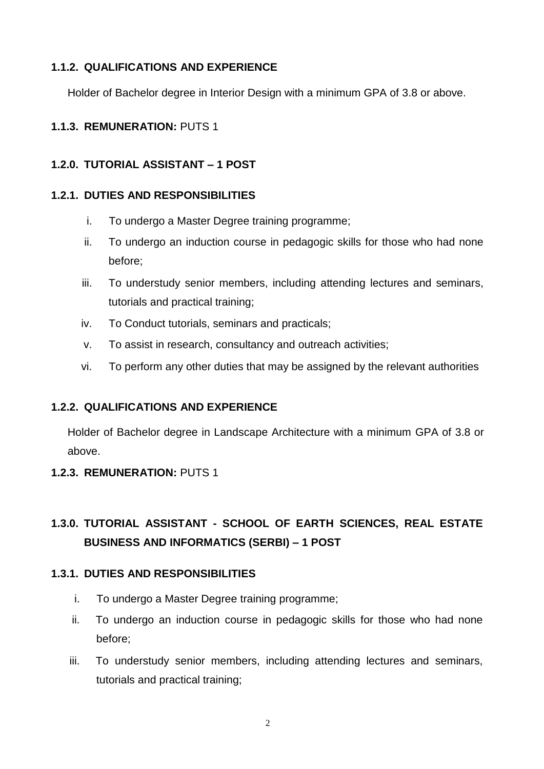### **1.1.2. QUALIFICATIONS AND EXPERIENCE**

Holder of Bachelor degree in Interior Design with a minimum GPA of 3.8 or above.

## **1.1.3. REMUNERATION:** PUTS 1

## **1.2.0. TUTORIAL ASSISTANT – 1 POST**

## **1.2.1. DUTIES AND RESPONSIBILITIES**

- i. To undergo a Master Degree training programme;
- ii. To undergo an induction course in pedagogic skills for those who had none before;
- iii. To understudy senior members, including attending lectures and seminars, tutorials and practical training;
- iv. To Conduct tutorials, seminars and practicals;
- v. To assist in research, consultancy and outreach activities;
- vi. To perform any other duties that may be assigned by the relevant authorities

## **1.2.2. QUALIFICATIONS AND EXPERIENCE**

Holder of Bachelor degree in Landscape Architecture with a minimum GPA of 3.8 or above.

### **1.2.3. REMUNERATION:** PUTS 1

# **1.3.0. TUTORIAL ASSISTANT - SCHOOL OF EARTH SCIENCES, REAL ESTATE BUSINESS AND INFORMATICS (SERBI) – 1 POST**

## **1.3.1. DUTIES AND RESPONSIBILITIES**

- i. To undergo a Master Degree training programme;
- ii. To undergo an induction course in pedagogic skills for those who had none before;
- iii. To understudy senior members, including attending lectures and seminars, tutorials and practical training;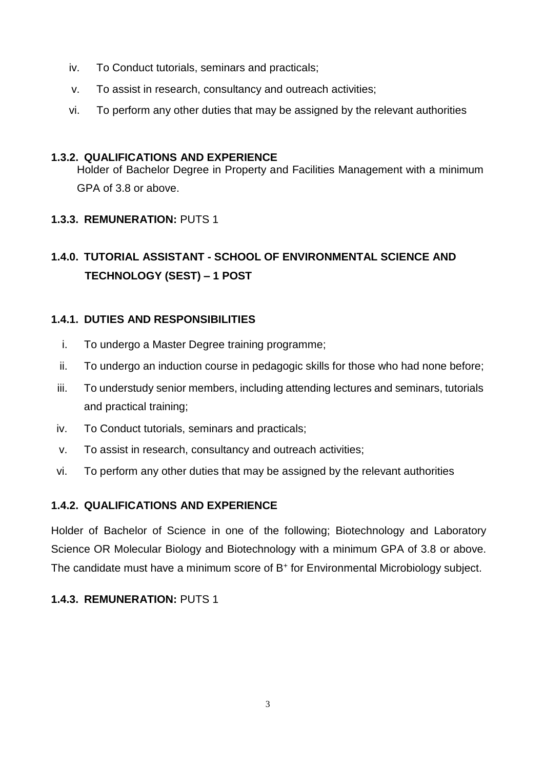- iv. To Conduct tutorials, seminars and practicals;
- v. To assist in research, consultancy and outreach activities;
- vi. To perform any other duties that may be assigned by the relevant authorities

### **1.3.2. QUALIFICATIONS AND EXPERIENCE**

Holder of Bachelor Degree in Property and Facilities Management with a minimum GPA of 3.8 or above.

## **1.3.3. REMUNERATION:** PUTS 1

# **1.4.0. TUTORIAL ASSISTANT - SCHOOL OF ENVIRONMENTAL SCIENCE AND TECHNOLOGY (SEST) – 1 POST**

## **1.4.1. DUTIES AND RESPONSIBILITIES**

- i. To undergo a Master Degree training programme;
- ii. To undergo an induction course in pedagogic skills for those who had none before;
- iii. To understudy senior members, including attending lectures and seminars, tutorials and practical training;
- iv. To Conduct tutorials, seminars and practicals;
- v. To assist in research, consultancy and outreach activities;
- vi. To perform any other duties that may be assigned by the relevant authorities

### **1.4.2. QUALIFICATIONS AND EXPERIENCE**

Holder of Bachelor of Science in one of the following; Biotechnology and Laboratory Science OR Molecular Biology and Biotechnology with a minimum GPA of 3.8 or above. The candidate must have a minimum score of B<sup>+</sup> for Environmental Microbiology subject.

## **1.4.3. REMUNERATION:** PUTS 1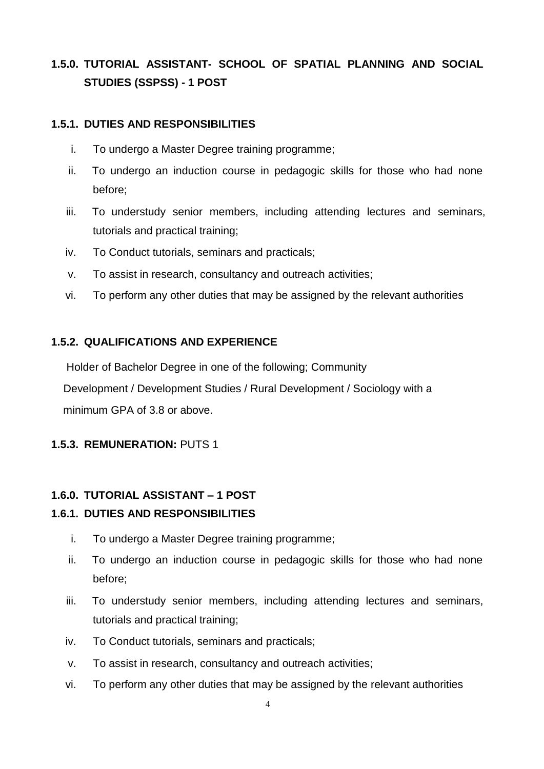# **1.5.0. TUTORIAL ASSISTANT- SCHOOL OF SPATIAL PLANNING AND SOCIAL STUDIES (SSPSS) - 1 POST**

#### **1.5.1. DUTIES AND RESPONSIBILITIES**

- i. To undergo a Master Degree training programme;
- ii. To undergo an induction course in pedagogic skills for those who had none before;
- iii. To understudy senior members, including attending lectures and seminars, tutorials and practical training;
- iv. To Conduct tutorials, seminars and practicals;
- v. To assist in research, consultancy and outreach activities;
- vi. To perform any other duties that may be assigned by the relevant authorities

#### **1.5.2. QUALIFICATIONS AND EXPERIENCE**

Holder of Bachelor Degree in one of the following; Community

Development / Development Studies / Rural Development / Sociology with a minimum GPA of 3.8 or above.

#### **1.5.3. REMUNERATION:** PUTS 1

#### **1.6.0. TUTORIAL ASSISTANT – 1 POST**

#### **1.6.1. DUTIES AND RESPONSIBILITIES**

- i. To undergo a Master Degree training programme;
- ii. To undergo an induction course in pedagogic skills for those who had none before;
- iii. To understudy senior members, including attending lectures and seminars, tutorials and practical training;
- iv. To Conduct tutorials, seminars and practicals;
- v. To assist in research, consultancy and outreach activities;
- vi. To perform any other duties that may be assigned by the relevant authorities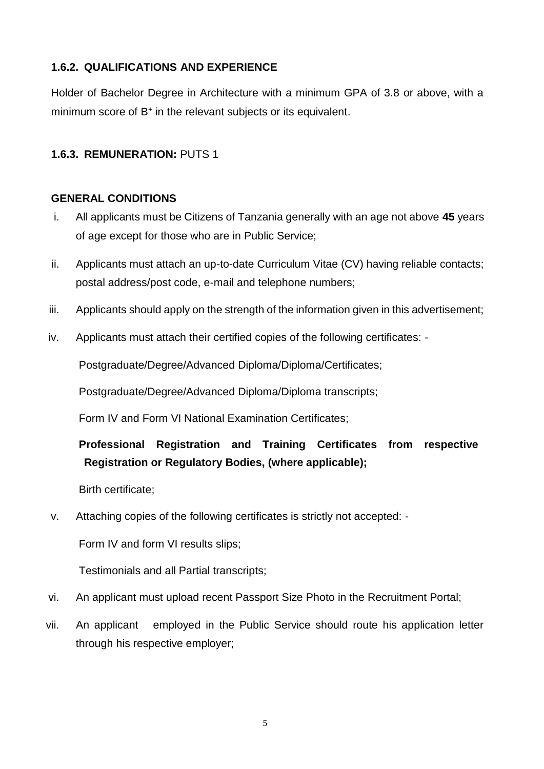### **1.6.2. QUALIFICATIONS AND EXPERIENCE**

Holder of Bachelor Degree in Architecture with a minimum GPA of 3.8 or above, with a minimum score of B<sup>+</sup> in the relevant subjects or its equivalent.

### **1.6.3. REMUNERATION:** PUTS 1

#### **GENERAL CONDITIONS**

- i. All applicants must be Citizens of Tanzania generally with an age not above **45** years of age except for those who are in Public Service;
- ii. Applicants must attach an up-to-date Curriculum Vitae (CV) having reliable contacts; postal address/post code, e-mail and telephone numbers;
- iii. Applicants should apply on the strength of the information given in this advertisement;
- iv. Applicants must attach their certified copies of the following certificates: -

Postgraduate/Degree/Advanced Diploma/Diploma/Certificates;

Postgraduate/Degree/Advanced Diploma/Diploma transcripts;

Form IV and Form VI National Examination Certificates;

# **Professional Registration and Training Certificates from respective Registration or Regulatory Bodies, (where applicable);**

Birth certificate;

v. Attaching copies of the following certificates is strictly not accepted: -

Form IV and form VI results slips;

Testimonials and all Partial transcripts;

- vi. An applicant must upload recent Passport Size Photo in the Recruitment Portal;
- vii. An applicant employed in the Public Service should route his application letter through his respective employer;